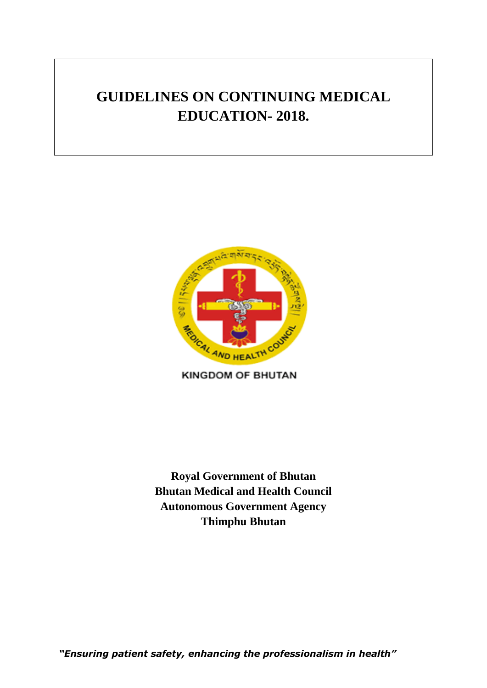# **GUIDELINES ON CONTINUING MEDICAL EDUCATION- 2018.**



**KINGDOM OF BHUTAN** 

**Royal Government of Bhutan Bhutan Medical and Health Council Autonomous Government Agency Thimphu Bhutan**

*"Ensuring patient safety, enhancing the professionalism in health"*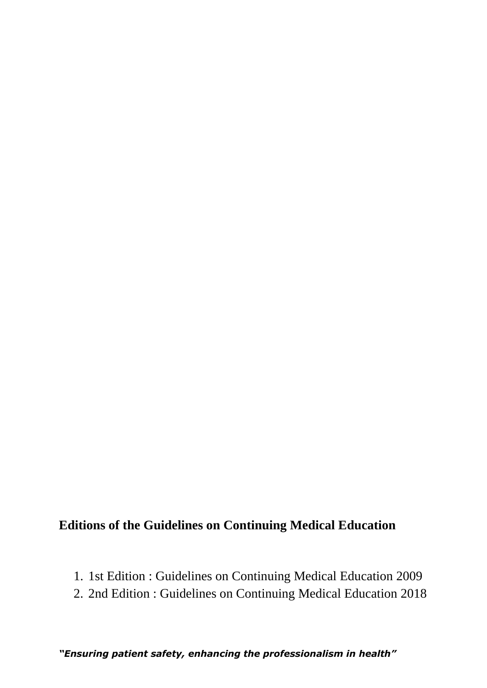## **Editions of the Guidelines on Continuing Medical Education**

- 1. 1st Edition : Guidelines on Continuing Medical Education 2009
- 2. 2nd Edition : Guidelines on Continuing Medical Education 2018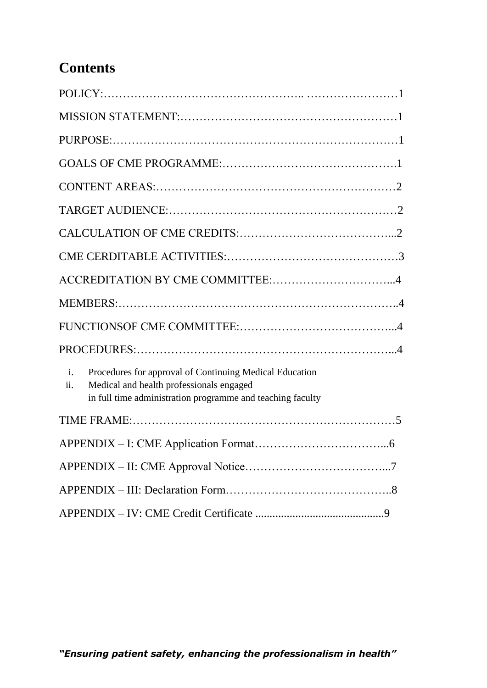## **Contents**

| Procedures for approval of Continuing Medical Education<br>$\mathbf{i}$ .<br>Medical and health professionals engaged<br>ii.<br>in full time administration programme and teaching faculty |  |
|--------------------------------------------------------------------------------------------------------------------------------------------------------------------------------------------|--|
|                                                                                                                                                                                            |  |
|                                                                                                                                                                                            |  |
|                                                                                                                                                                                            |  |
|                                                                                                                                                                                            |  |
|                                                                                                                                                                                            |  |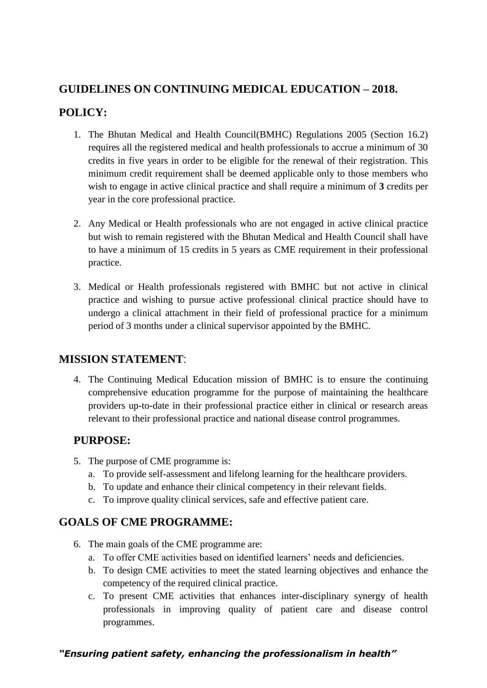### **GUIDELINES ON CONTINUING MEDICAL EDUCATION – 2018.**

### **POLICY:**

- 1. The Bhutan Medical and Health Council(BMHC) Regulations 2005 (Section 16.2) requires all the registered medical and health professionals to accrue a minimum of 30 credits in five years in order to be eligible for the renewal of their registration. This minimum credit requirement shall be deemed applicable only to those members who wish to engage in active clinical practice and shall require a minimum of **3** credits per year in the core professional practice.
- 2. Any Medical or Health professionals who are not engaged in active clinical practice but wish to remain registered with the Bhutan Medical and Health Council shall have to have a minimum of 15 credits in 5 years as CME requirement in their professional practice.
- 3. Medical or Health professionals registered with BMHC but not active in clinical practice and wishing to pursue active professional clinical practice should have to undergo a clinical attachment in their field of professional practice for a minimum period of 3 months under a clinical supervisor appointed by the BMHC.

### **MISSION STATEMENT**:

4. The Continuing Medical Education mission of BMHC is to ensure the continuing comprehensive education programme for the purpose of maintaining the healthcare providers up-to-date in their professional practice either in clinical or research areas relevant to their professional practice and national disease control programmes.

### **PURPOSE:**

- 5. The purpose of CME programme is:
	- a. To provide self-assessment and lifelong learning for the healthcare providers.
	- b. To update and enhance their clinical competency in their relevant fields.
	- c. To improve quality clinical services, safe and effective patient care.

### **GOALS OF CME PROGRAMME:**

- 6. The main goals of the CME programme are:
	- a. To offer CME activities based on identified learners' needs and deficiencies.
	- b. To design CME activities to meet the stated learning objectives and enhance the competency of the required clinical practice.
	- c. To present CME activities that enhances inter-disciplinary synergy of health professionals in improving quality of patient care and disease control programmes.

### *"Ensuring patient safety, enhancing the professionalism in health"*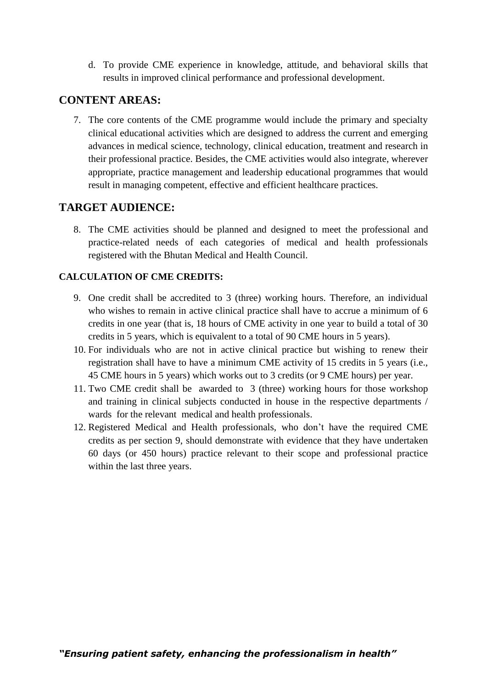d. To provide CME experience in knowledge, attitude, and behavioral skills that results in improved clinical performance and professional development.

#### **CONTENT AREAS:**

7. The core contents of the CME programme would include the primary and specialty clinical educational activities which are designed to address the current and emerging advances in medical science, technology, clinical education, treatment and research in their professional practice. Besides, the CME activities would also integrate, wherever appropriate, practice management and leadership educational programmes that would result in managing competent, effective and efficient healthcare practices.

### **TARGET AUDIENCE:**

8. The CME activities should be planned and designed to meet the professional and practice-related needs of each categories of medical and health professionals registered with the Bhutan Medical and Health Council.

#### **CALCULATION OF CME CREDITS:**

- 9. One credit shall be accredited to 3 (three) working hours. Therefore, an individual who wishes to remain in active clinical practice shall have to accrue a minimum of 6 credits in one year (that is, 18 hours of CME activity in one year to build a total of 30 credits in 5 years, which is equivalent to a total of 90 CME hours in 5 years).
- 10. For individuals who are not in active clinical practice but wishing to renew their registration shall have to have a minimum CME activity of 15 credits in 5 years (i.e., 45 CME hours in 5 years) which works out to 3 credits (or 9 CME hours) per year.
- 11. Two CME credit shall be awarded to 3 (three) working hours for those workshop and training in clinical subjects conducted in house in the respective departments / wards for the relevant medical and health professionals.
- 12. Registered Medical and Health professionals, who don't have the required CME credits as per section 9, should demonstrate with evidence that they have undertaken 60 days (or 450 hours) practice relevant to their scope and professional practice within the last three years.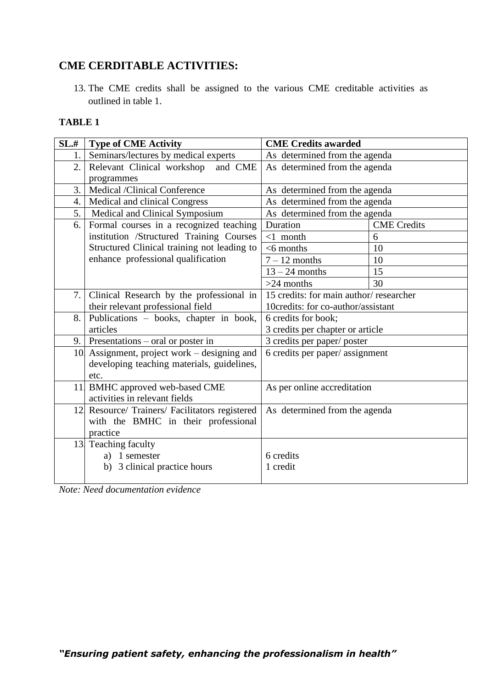### **CME CERDITABLE ACTIVITIES:**

13. The CME credits shall be assigned to the various CME creditable activities as outlined in table 1.

#### **TABLE 1**

| SL,# | <b>Type of CME Activity</b>                    | <b>CME Credits awarded</b>             |                    |
|------|------------------------------------------------|----------------------------------------|--------------------|
| 1.   | Seminars/lectures by medical experts           | As determined from the agenda          |                    |
| 2.   | Relevant Clinical workshop<br>and CME          | As determined from the agenda          |                    |
|      | programmes                                     |                                        |                    |
| 3.   | Medical /Clinical Conference                   | As determined from the agenda          |                    |
| 4.   | Medical and clinical Congress                  | As determined from the agenda          |                    |
| 5.   | Medical and Clinical Symposium                 | As determined from the agenda          |                    |
| 6.   | Formal courses in a recognized teaching        | Duration                               | <b>CME</b> Credits |
|      | institution /Structured Training Courses       | $<1$ month                             | 6                  |
|      | Structured Clinical training not leading to    | $<$ 6 months                           | 10                 |
|      | enhance professional qualification             | $7 - 12$ months                        | 10                 |
|      |                                                | $13 - 24$ months                       | 15                 |
|      |                                                | $>24$ months                           | 30                 |
| 7.1  | Clinical Research by the professional in       | 15 credits: for main author/researcher |                    |
|      | their relevant professional field              | 10credits: for co-author/assistant     |                    |
| 8.   | Publications - books, chapter in book,         | 6 credits for book;                    |                    |
|      | articles                                       | 3 credits per chapter or article       |                    |
|      | 9.   Presentations $-$ oral or poster in       | 3 credits per paper/ poster            |                    |
|      | 10 Assignment, project work – designing and    | 6 credits per paper/ assignment        |                    |
|      | developing teaching materials, guidelines,     |                                        |                    |
|      | etc.                                           |                                        |                    |
|      | 11 BMHC approved web-based CME                 | As per online accreditation            |                    |
|      | activities in relevant fields                  |                                        |                    |
|      | 12 Resource/ Trainers/ Facilitators registered | As determined from the agenda          |                    |
|      | with the BMHC in their professional            |                                        |                    |
|      | practice                                       |                                        |                    |
|      | 13 Teaching faculty                            |                                        |                    |
|      | a) 1 semester                                  | 6 credits                              |                    |
|      | b) 3 clinical practice hours                   | 1 credit                               |                    |
|      |                                                |                                        |                    |

*Note: Need documentation evidence*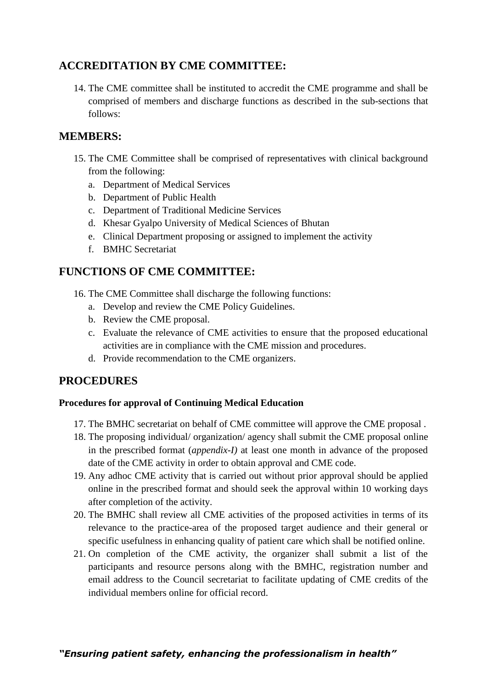### **ACCREDITATION BY CME COMMITTEE:**

14. The CME committee shall be instituted to accredit the CME programme and shall be comprised of members and discharge functions as described in the sub-sections that follows:

### **MEMBERS:**

- 15. The CME Committee shall be comprised of representatives with clinical background from the following:
	- a. Department of Medical Services
	- b. Department of Public Health
	- c. Department of Traditional Medicine Services
	- d. Khesar Gyalpo University of Medical Sciences of Bhutan
	- e. Clinical Department proposing or assigned to implement the activity
	- f. BMHC Secretariat

### **FUNCTIONS OF CME COMMITTEE:**

- 16. The CME Committee shall discharge the following functions:
	- a. Develop and review the CME Policy Guidelines.
	- b. Review the CME proposal.
	- c. Evaluate the relevance of CME activities to ensure that the proposed educational activities are in compliance with the CME mission and procedures.
	- d. Provide recommendation to the CME organizers.

### **PROCEDURES**

#### **Procedures for approval of Continuing Medical Education**

- 17. The BMHC secretariat on behalf of CME committee will approve the CME proposal .
- 18. The proposing individual/ organization/ agency shall submit the CME proposal online in the prescribed format (*appendix-I)* at least one month in advance of the proposed date of the CME activity in order to obtain approval and CME code.
- 19. Any adhoc CME activity that is carried out without prior approval should be applied online in the prescribed format and should seek the approval within 10 working days after completion of the activity.
- 20. The BMHC shall review all CME activities of the proposed activities in terms of its relevance to the practice-area of the proposed target audience and their general or specific usefulness in enhancing quality of patient care which shall be notified online.
- 21. On completion of the CME activity, the organizer shall submit a list of the participants and resource persons along with the BMHC, registration number and email address to the Council secretariat to facilitate updating of CME credits of the individual members online for official record.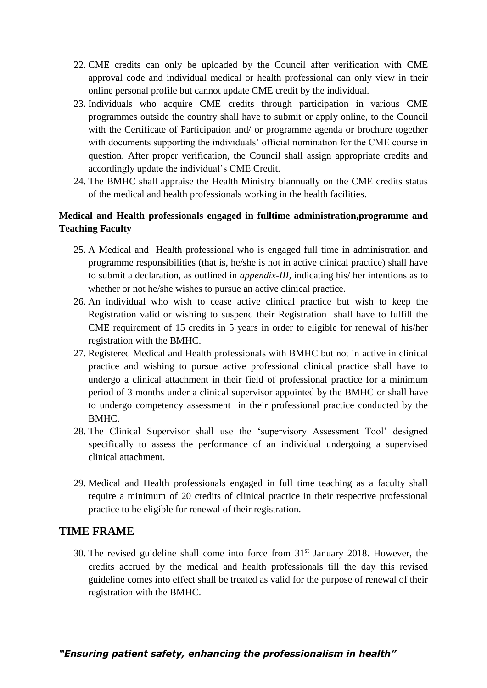- 22. CME credits can only be uploaded by the Council after verification with CME approval code and individual medical or health professional can only view in their online personal profile but cannot update CME credit by the individual.
- 23. Individuals who acquire CME credits through participation in various CME programmes outside the country shall have to submit or apply online, to the Council with the Certificate of Participation and/ or programme agenda or brochure together with documents supporting the individuals' official nomination for the CME course in question. After proper verification, the Council shall assign appropriate credits and accordingly update the individual's CME Credit.
- 24. The BMHC shall appraise the Health Ministry biannually on the CME credits status of the medical and health professionals working in the health facilities.

#### **Medical and Health professionals engaged in fulltime administration,programme and Teaching Faculty**

- 25. A Medical and Health professional who is engaged full time in administration and programme responsibilities (that is, he/she is not in active clinical practice) shall have to submit a declaration, as outlined in *appendix-III,* indicating his/ her intentions as to whether or not he/she wishes to pursue an active clinical practice.
- 26. An individual who wish to cease active clinical practice but wish to keep the Registration valid or wishing to suspend their Registration shall have to fulfill the CME requirement of 15 credits in 5 years in order to eligible for renewal of his/her registration with the BMHC.
- 27. Registered Medical and Health professionals with BMHC but not in active in clinical practice and wishing to pursue active professional clinical practice shall have to undergo a clinical attachment in their field of professional practice for a minimum period of 3 months under a clinical supervisor appointed by the BMHC or shall have to undergo competency assessment in their professional practice conducted by the BMHC.
- 28. The Clinical Supervisor shall use the 'supervisory Assessment Tool' designed specifically to assess the performance of an individual undergoing a supervised clinical attachment.
- 29. Medical and Health professionals engaged in full time teaching as a faculty shall require a minimum of 20 credits of clinical practice in their respective professional practice to be eligible for renewal of their registration.

#### **TIME FRAME**

30. The revised guideline shall come into force from  $31<sup>st</sup>$  January 2018. However, the credits accrued by the medical and health professionals till the day this revised guideline comes into effect shall be treated as valid for the purpose of renewal of their registration with the BMHC.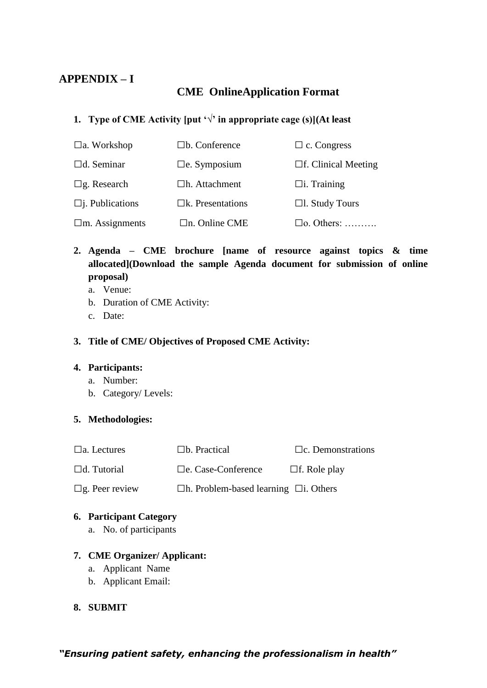### **APPENDIX – I**

### **CME OnlineApplication Format**

### **1. Type of CME Activity [put**  $\forall$  **in appropriate cage (s)](At least**

| $\Box$ a. Workshop     | $\Box$ b. Conference    | $\Box$ c. Congress         |
|------------------------|-------------------------|----------------------------|
| $\Box$ d. Seminar      | $\Box$ e. Symposium     | $\Box$ f. Clinical Meeting |
| $\Box$ g. Research     | $\Box$ h. Attachment    | $\Box$ i. Training         |
| $\Box$ j. Publications | $\Box$ k. Presentations | $\Box$ l. Study Tours      |
| $\Box$ m. Assignments  | $\Box$ n. Online CME    | $\Box$ o. Others:          |

### **2. Agenda – CME brochure [name of resource against topics & time allocated](Download the sample Agenda document for submission of online proposal)**

- a. Venue:
- b. Duration of CME Activity:
- c. Date:

#### **3. Title of CME/ Objectives of Proposed CME Activity:**

#### **4. Participants:**

- a. Number:
- b. Category/ Levels:

#### **5. Methodologies:**

| $\Box$ a. Lectures    | $\Box$ b. Practical                               | $\Box$ c. Demonstrations |
|-----------------------|---------------------------------------------------|--------------------------|
| $\Box$ d. Tutorial    | $\Box$ e. Case-Conference                         | $\Box$ f. Role play      |
| $\Box$ g. Peer review | $\Box$ h. Problem-based learning $\Box$ i. Others |                          |

#### **6. Participant Category**

a. No. of participants

#### **7. CME Organizer/ Applicant:**

- a. Applicant Name
- b. Applicant Email:

#### **8. SUBMIT**

*"Ensuring patient safety, enhancing the professionalism in health"*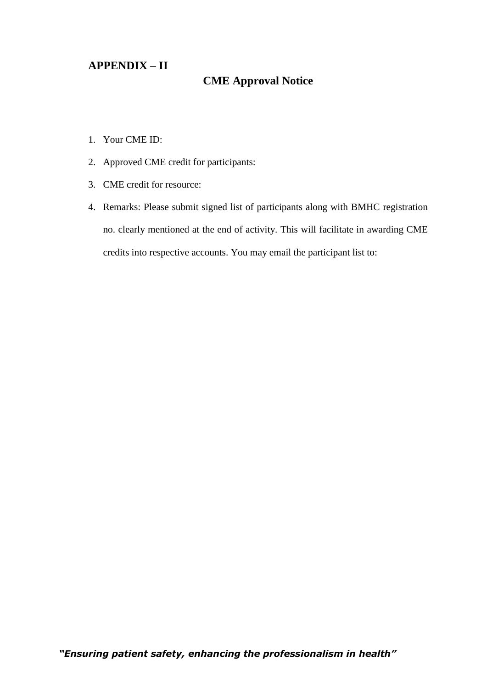#### **APPENDIX – II**

### **CME Approval Notice**

- 1. Your CME ID:
- 2. Approved CME credit for participants:
- 3. CME credit for resource:
- 4. Remarks: Please submit signed list of participants along with BMHC registration no. clearly mentioned at the end of activity. This will facilitate in awarding CME credits into respective accounts. You may email the participant list to: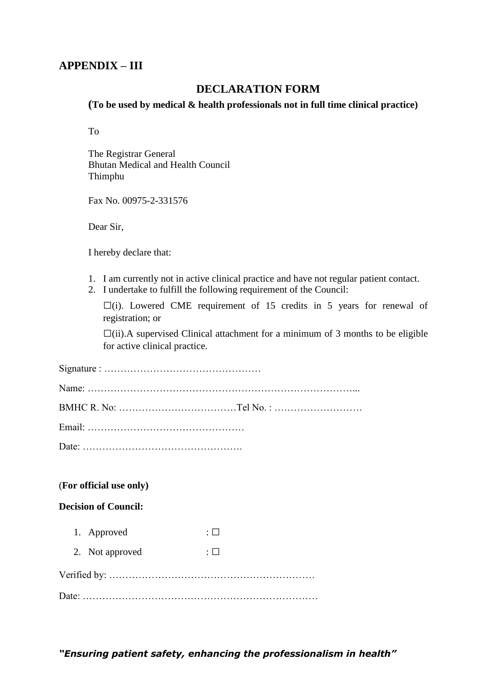#### **APPENDIX – III**

#### **DECLARATION FORM**

**(To be used by medical & health professionals not in full time clinical practice)**

To

The Registrar General Bhutan Medical and Health Council Thimphu

Fax No. 00975-2-331576

Dear Sir,

I hereby declare that:

- 1. I am currently not in active clinical practice and have not regular patient contact.
- 2. I undertake to fulfill the following requirement of the Council:

**□**(i). Lowered CME requirement of 15 credits in 5 years for renewal of registration; or

**□**(ii).A supervised Clinical attachment for a minimum of 3 months to be eligible for active clinical practice.

#### (**For official use only)**

#### **Decision of Council:**

- 1. Approved : **□**
- 2. Not approved  $: \Box$

|--|

Date: ………………………………………………………………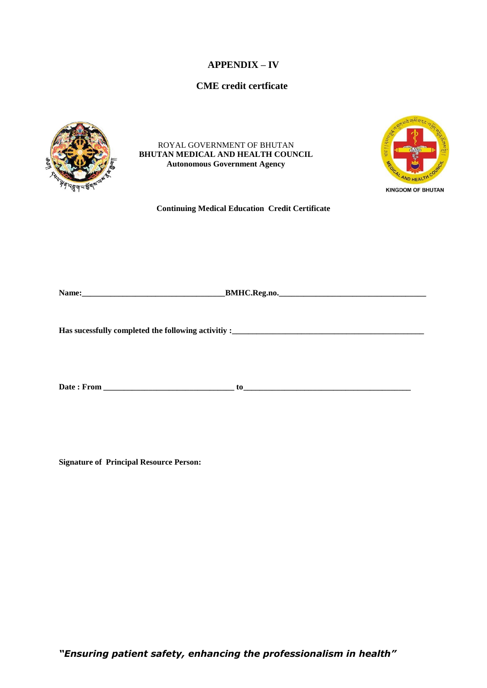#### **APPENDIX – IV**

#### **CME credit certficate**



ROYAL GOVERNMENT OF BHUTAN **BHUTAN MEDICAL AND HEALTH COUNCIL Autonomous Government Agency**



**Continuing Medical Education Credit Certificate**

| - -<br>. .<br>1 VOJ<br>___________ | DM<br> |
|------------------------------------|--------|
|                                    |        |

**Has sucessfully completed the following activitiy :\_\_\_\_\_\_\_\_\_\_\_\_\_\_\_\_\_\_\_\_\_\_\_\_\_\_\_\_\_\_\_\_\_\_\_\_\_\_\_\_\_\_\_\_\_\_\_**

**Date : From \_\_\_\_\_\_\_\_\_\_\_\_\_\_\_\_\_\_\_\_\_\_\_\_\_\_\_\_\_\_\_\_ to\_\_\_\_\_\_\_\_\_\_\_\_\_\_\_\_\_\_\_\_\_\_\_\_\_\_\_\_\_\_\_\_\_\_\_\_\_\_\_\_\_**

**Signature of Principal Resource Person:**